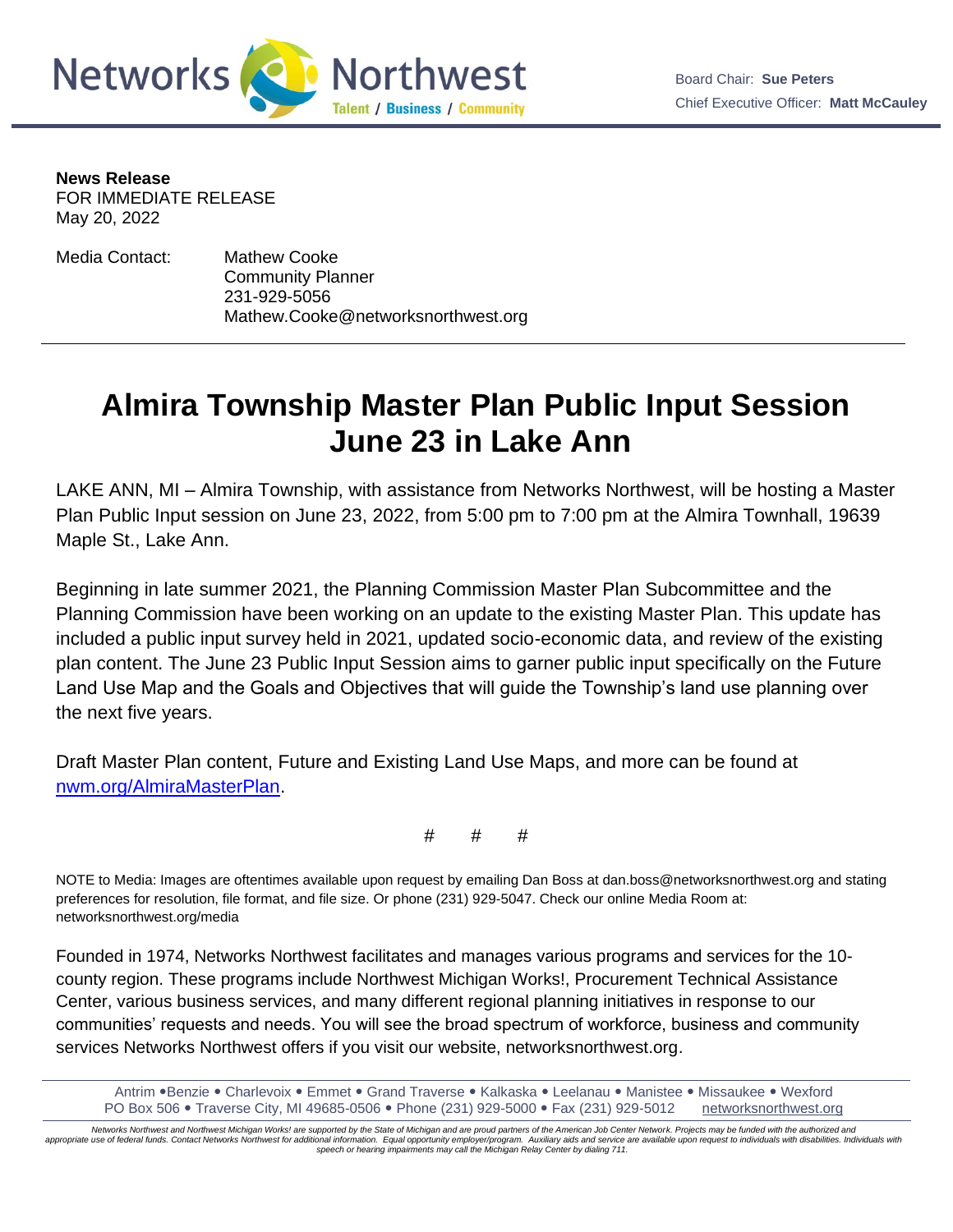



**News Release**

FOR IMMEDIATE RELEASE May 20, 2022

Media Contact: Mathew Cooke Community Planner 231-929-5056 Mathew.Cooke@networksnorthwest.org

## **Almira Township Master Plan Public Input Session June 23 in Lake Ann**

LAKE ANN, MI – Almira Township, with assistance from Networks Northwest, will be hosting a Master Plan Public Input session on June 23, 2022, from 5:00 pm to 7:00 pm at the Almira Townhall, 19639 Maple St., Lake Ann.

Beginning in late summer 2021, the Planning Commission Master Plan Subcommittee and the Planning Commission have been working on an update to the existing Master Plan. This update has included a public input survey held in 2021, updated socio-economic data, and review of the existing plan content. The June 23 Public Input Session aims to garner public input specifically on the Future Land Use Map and the Goals and Objectives that will guide the Township's land use planning over the next five years.

Draft Master Plan content, Future and Existing Land Use Maps, and more can be found at [nwm.org/AlmiraMasterPlan.](https://www.networksnorthwest.org/community/projects/almira-township-master-plan-update.html)

# # #

NOTE to Media: Images are oftentimes available upon request by emailing Dan Boss at dan.boss@networksnorthwest.org and stating preferences for resolution, file format, and file size. Or phone (231) 929-5047. Check our online Media Room at: networksnorthwest.org/media

Founded in 1974, Networks Northwest facilitates and manages various programs and services for the 10 county region. These programs include Northwest Michigan Works!, Procurement Technical Assistance Center, various business services, and many different regional planning initiatives in response to our communities' requests and needs. You will see the broad spectrum of workforce, business and community services Networks Northwest offers if you visit our website, networksnorthwest.org.

Antrim .Benzie . Charlevoix . Emmet . Grand Traverse . Kalkaska . Leelanau . Manistee . Missaukee . Wexford PO Box 506 Traverse City, MI 49685-0506 Phone (231) 929-5000 Fax (231) 929-5012 [networksnorthwest.org](about:blank)

*Networks Northwest and Northwest Michigan Works! are supported by the State of Michigan and are proud partners of the American Job Center Network. Projects may be funded with the authorized and*  appropriate use of federal funds. Contact Networks Northwest for additional information. Equal opportunity employer/program. Auxiliary aids and service are available upon request to individuals with disabilities. Individua